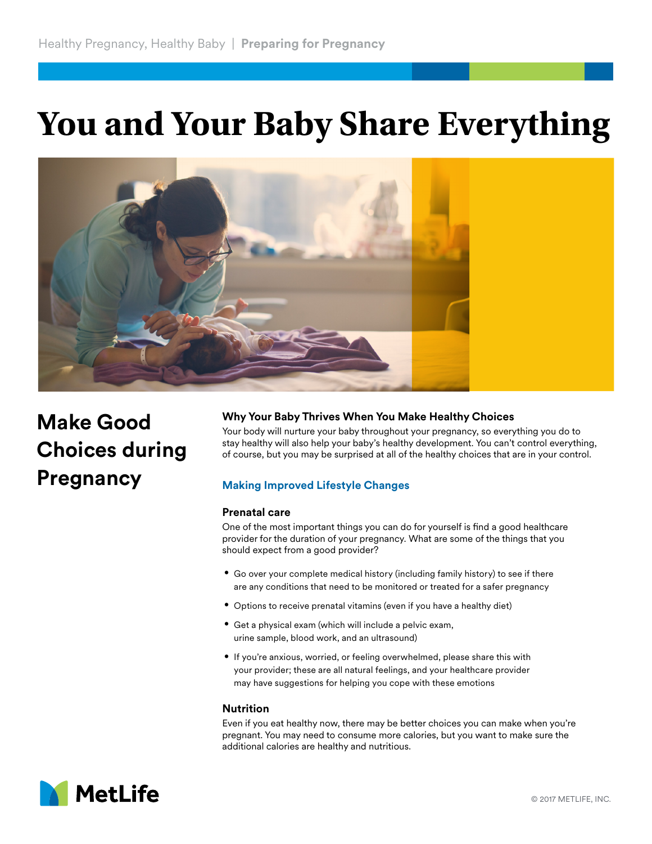# **You and Your Baby Share Everything**



# **Make Good Choices during Pregnancy**

# **Why Your Baby Thrives When You Make Healthy Choices**

Your body will nurture your baby throughout your pregnancy, so everything you do to stay healthy will also help your baby's healthy development. You can't control everything, of course, but you may be surprised at all of the healthy choices that are in your control.

# **Making Improved Lifestyle Changes**

#### **Prenatal care**

One of the most important things you can do for yourself is find a good healthcare provider for the duration of your pregnancy. What are some of the things that you should expect from a good provider?

- **•** Go over your complete medical history (including family history) to see if there are any conditions that need to be monitored or treated for a safer pregnancy
- **•** Options to receive prenatal vitamins (even if you have a healthy diet)
- **•** Get a physical exam (which will include a pelvic exam, urine sample, blood work, and an ultrasound)
- **•** If you're anxious, worried, or feeling overwhelmed, please share this with your provider; these are all natural feelings, and your healthcare provider may have suggestions for helping you cope with these emotions

## **Nutrition**

Even if you eat healthy now, there may be better choices you can make when you're pregnant. You may need to consume more calories, but you want to make sure the additional calories are healthy and nutritious.